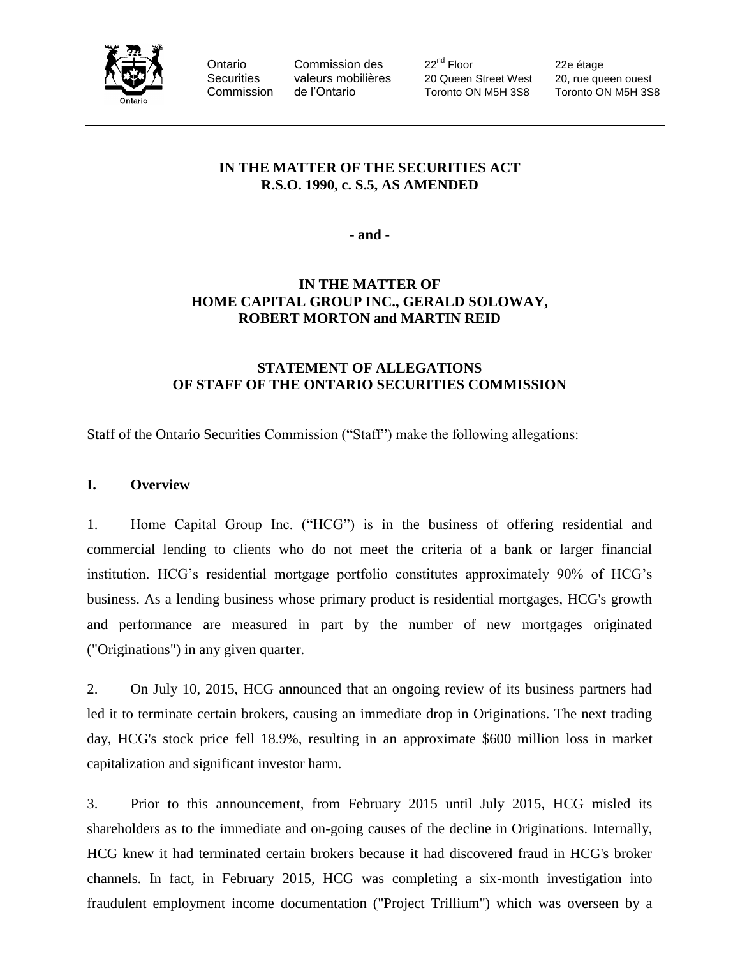

Ontario Commission des 22<sup>nd</sup> Floor 22e étage Securities valeurs mobilières 20 Queen Street West 20, rue queen ouest Commission de l'Ontario Toronto ON M5H 3S8 Toronto ON M5H 3S8

# **IN THE MATTER OF THE SECURITIES ACT R.S.O. 1990, c. S.5, AS AMENDED**

**- and -**

# **IN THE MATTER OF HOME CAPITAL GROUP INC., GERALD SOLOWAY, ROBERT MORTON and MARTIN REID**

# **STATEMENT OF ALLEGATIONS OF STAFF OF THE ONTARIO SECURITIES COMMISSION**

Staff of the Ontario Securities Commission ("Staff") make the following allegations:

## **I. Overview**

1. Home Capital Group Inc. ("HCG") is in the business of offering residential and commercial lending to clients who do not meet the criteria of a bank or larger financial institution. HCG's residential mortgage portfolio constitutes approximately 90% of HCG's business. As a lending business whose primary product is residential mortgages, HCG's growth and performance are measured in part by the number of new mortgages originated ("Originations") in any given quarter.

2. On July 10, 2015, HCG announced that an ongoing review of its business partners had led it to terminate certain brokers, causing an immediate drop in Originations. The next trading day, HCG's stock price fell 18.9%, resulting in an approximate \$600 million loss in market capitalization and significant investor harm.

3. Prior to this announcement, from February 2015 until July 2015, HCG misled its shareholders as to the immediate and on-going causes of the decline in Originations. Internally, HCG knew it had terminated certain brokers because it had discovered fraud in HCG's broker channels. In fact, in February 2015, HCG was completing a six-month investigation into fraudulent employment income documentation ("Project Trillium") which was overseen by a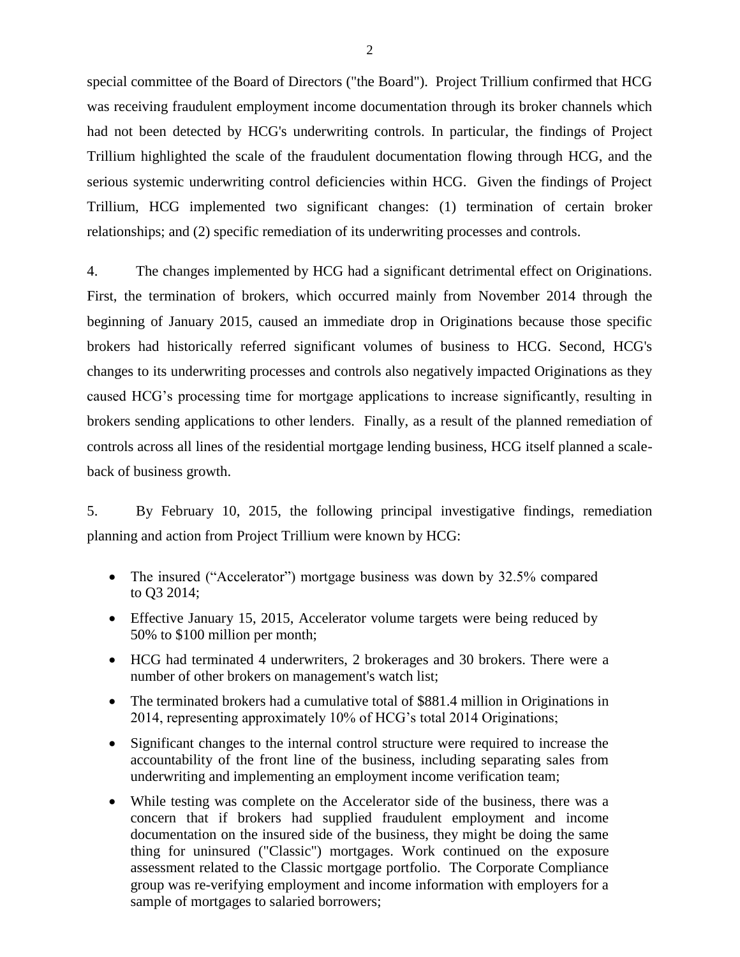special committee of the Board of Directors ("the Board"). Project Trillium confirmed that HCG was receiving fraudulent employment income documentation through its broker channels which had not been detected by HCG's underwriting controls. In particular, the findings of Project Trillium highlighted the scale of the fraudulent documentation flowing through HCG, and the serious systemic underwriting control deficiencies within HCG. Given the findings of Project Trillium, HCG implemented two significant changes: (1) termination of certain broker relationships; and (2) specific remediation of its underwriting processes and controls.

4. The changes implemented by HCG had a significant detrimental effect on Originations. First, the termination of brokers, which occurred mainly from November 2014 through the beginning of January 2015, caused an immediate drop in Originations because those specific brokers had historically referred significant volumes of business to HCG. Second, HCG's changes to its underwriting processes and controls also negatively impacted Originations as they caused HCG's processing time for mortgage applications to increase significantly, resulting in brokers sending applications to other lenders. Finally, as a result of the planned remediation of controls across all lines of the residential mortgage lending business, HCG itself planned a scaleback of business growth.

5. By February 10, 2015, the following principal investigative findings, remediation planning and action from Project Trillium were known by HCG:

- The insured ("Accelerator") mortgage business was down by 32.5% compared to Q3 2014;
- Effective January 15, 2015, Accelerator volume targets were being reduced by 50% to \$100 million per month;
- HCG had terminated 4 underwriters, 2 brokerages and 30 brokers. There were a number of other brokers on management's watch list;
- The terminated brokers had a cumulative total of \$881.4 million in Originations in 2014, representing approximately 10% of HCG's total 2014 Originations;
- Significant changes to the internal control structure were required to increase the accountability of the front line of the business, including separating sales from underwriting and implementing an employment income verification team;
- While testing was complete on the Accelerator side of the business, there was a concern that if brokers had supplied fraudulent employment and income documentation on the insured side of the business, they might be doing the same thing for uninsured ("Classic") mortgages. Work continued on the exposure assessment related to the Classic mortgage portfolio. The Corporate Compliance group was re-verifying employment and income information with employers for a sample of mortgages to salaried borrowers;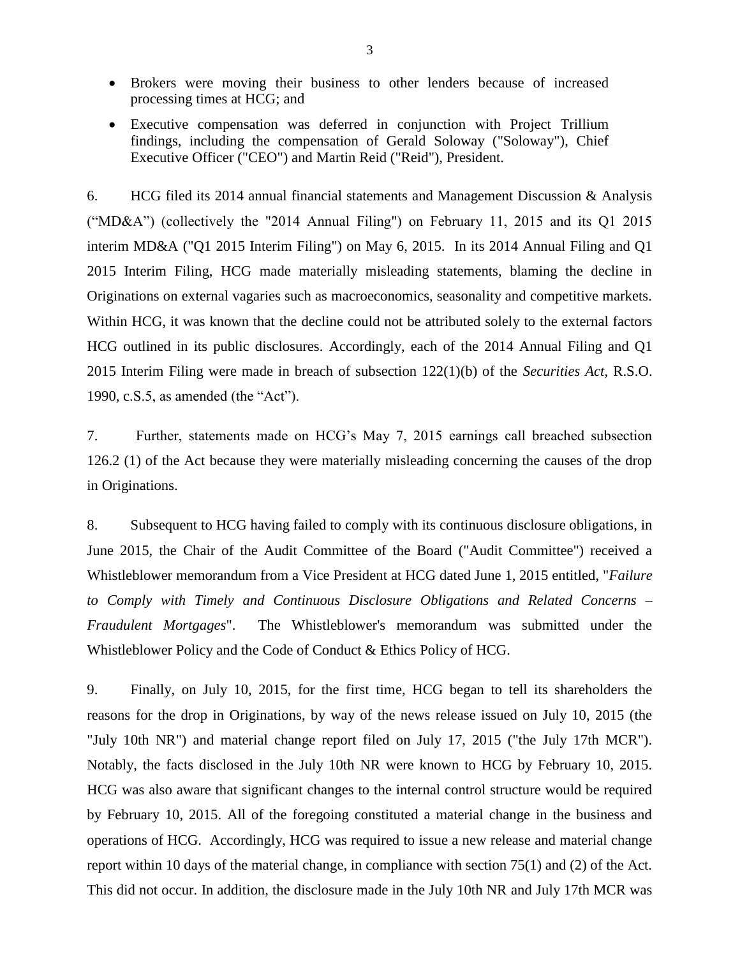- Brokers were moving their business to other lenders because of increased processing times at HCG; and
- Executive compensation was deferred in conjunction with Project Trillium findings, including the compensation of Gerald Soloway ("Soloway"), Chief Executive Officer ("CEO") and Martin Reid ("Reid"), President.

6. HCG filed its 2014 annual financial statements and Management Discussion & Analysis ("MD&A") (collectively the "2014 Annual Filing") on February 11, 2015 and its Q1 2015 interim MD&A ("Q1 2015 Interim Filing") on May 6, 2015. In its 2014 Annual Filing and Q1 2015 Interim Filing, HCG made materially misleading statements, blaming the decline in Originations on external vagaries such as macroeconomics, seasonality and competitive markets. Within HCG, it was known that the decline could not be attributed solely to the external factors HCG outlined in its public disclosures. Accordingly, each of the 2014 Annual Filing and Q1 2015 Interim Filing were made in breach of subsection 122(1)(b) of the *Securities Act,* R.S.O. 1990, c.S.5, as amended (the "Act").

7. Further, statements made on HCG's May 7, 2015 earnings call breached subsection 126.2 (1) of the Act because they were materially misleading concerning the causes of the drop in Originations.

8. Subsequent to HCG having failed to comply with its continuous disclosure obligations, in June 2015, the Chair of the Audit Committee of the Board ("Audit Committee") received a Whistleblower memorandum from a Vice President at HCG dated June 1, 2015 entitled, "*Failure to Comply with Timely and Continuous Disclosure Obligations and Related Concerns – Fraudulent Mortgages*". The Whistleblower's memorandum was submitted under the Whistleblower Policy and the Code of Conduct & Ethics Policy of HCG.

9. Finally, on July 10, 2015, for the first time, HCG began to tell its shareholders the reasons for the drop in Originations, by way of the news release issued on July 10, 2015 (the "July 10th NR") and material change report filed on July 17, 2015 ("the July 17th MCR"). Notably, the facts disclosed in the July 10th NR were known to HCG by February 10, 2015. HCG was also aware that significant changes to the internal control structure would be required by February 10, 2015. All of the foregoing constituted a material change in the business and operations of HCG. Accordingly, HCG was required to issue a new release and material change report within 10 days of the material change, in compliance with section 75(1) and (2) of the Act. This did not occur. In addition, the disclosure made in the July 10th NR and July 17th MCR was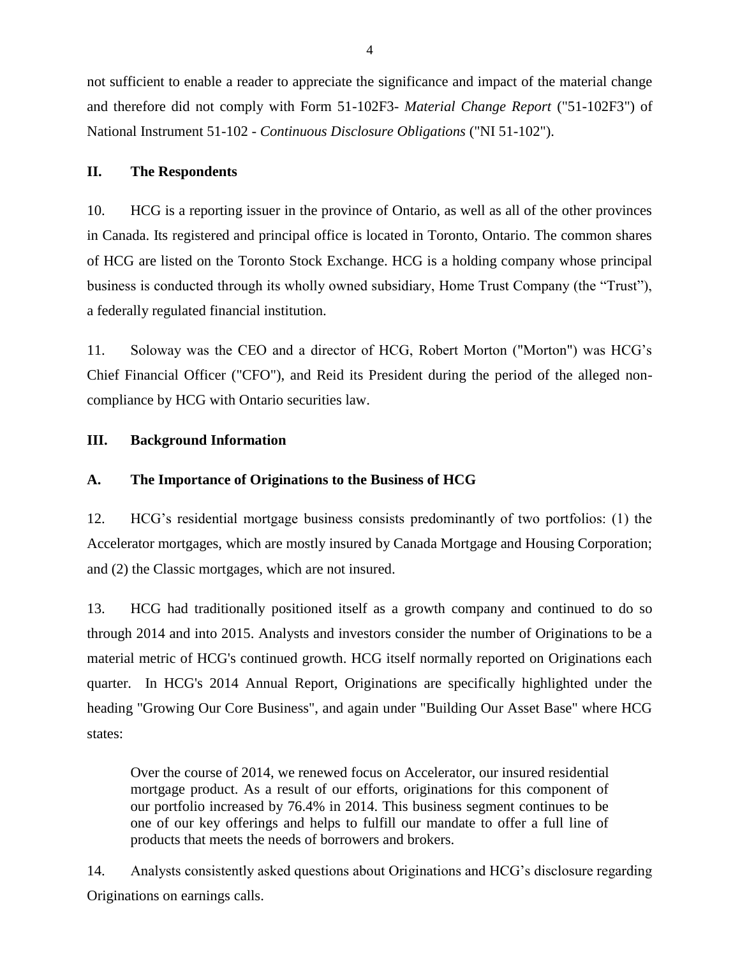not sufficient to enable a reader to appreciate the significance and impact of the material change and therefore did not comply with Form 51-102F3- *Material Change Report* ("51-102F3") of National Instrument 51-102 - *Continuous Disclosure Obligations* ("NI 51-102").

## **II. The Respondents**

10. HCG is a reporting issuer in the province of Ontario, as well as all of the other provinces in Canada. Its registered and principal office is located in Toronto, Ontario. The common shares of HCG are listed on the Toronto Stock Exchange. HCG is a holding company whose principal business is conducted through its wholly owned subsidiary, Home Trust Company (the "Trust"), a federally regulated financial institution.

11. Soloway was the CEO and a director of HCG, Robert Morton ("Morton") was HCG's Chief Financial Officer ("CFO"), and Reid its President during the period of the alleged noncompliance by HCG with Ontario securities law.

# **III. Background Information**

# **A. The Importance of Originations to the Business of HCG**

12. HCG's residential mortgage business consists predominantly of two portfolios: (1) the Accelerator mortgages, which are mostly insured by Canada Mortgage and Housing Corporation; and (2) the Classic mortgages, which are not insured.

13. HCG had traditionally positioned itself as a growth company and continued to do so through 2014 and into 2015. Analysts and investors consider the number of Originations to be a material metric of HCG's continued growth. HCG itself normally reported on Originations each quarter. In HCG's 2014 Annual Report, Originations are specifically highlighted under the heading "Growing Our Core Business", and again under "Building Our Asset Base" where HCG states:

Over the course of 2014, we renewed focus on Accelerator, our insured residential mortgage product. As a result of our efforts, originations for this component of our portfolio increased by 76.4% in 2014. This business segment continues to be one of our key offerings and helps to fulfill our mandate to offer a full line of products that meets the needs of borrowers and brokers.

14. Analysts consistently asked questions about Originations and HCG's disclosure regarding Originations on earnings calls.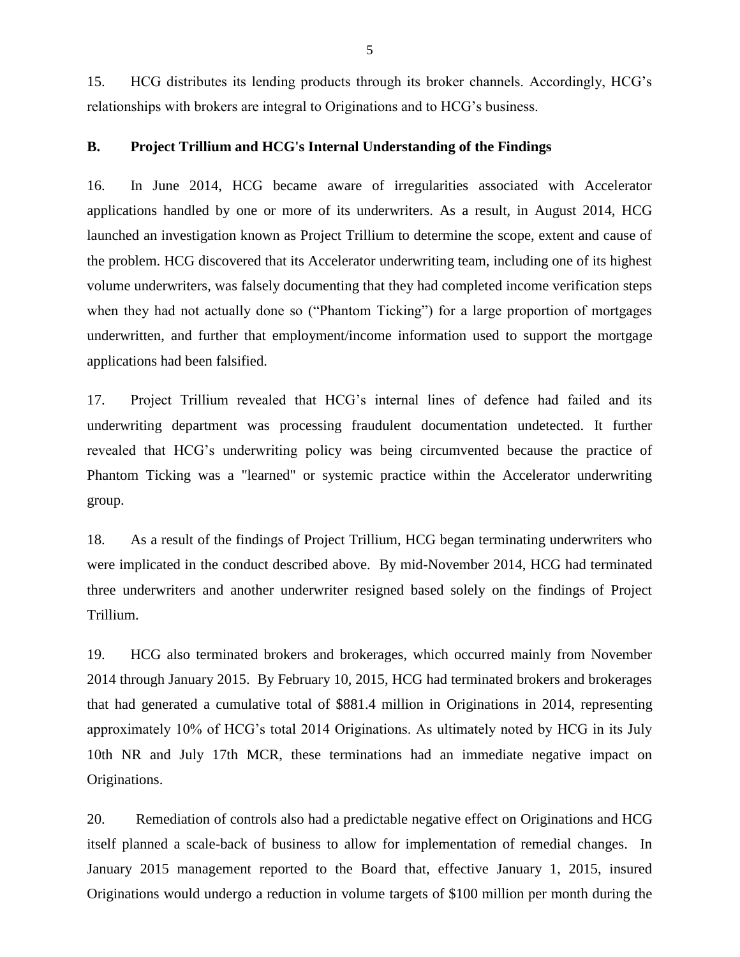15. HCG distributes its lending products through its broker channels. Accordingly, HCG's relationships with brokers are integral to Originations and to HCG's business.

### **B. Project Trillium and HCG's Internal Understanding of the Findings**

16. In June 2014, HCG became aware of irregularities associated with Accelerator applications handled by one or more of its underwriters. As a result, in August 2014, HCG launched an investigation known as Project Trillium to determine the scope, extent and cause of the problem. HCG discovered that its Accelerator underwriting team, including one of its highest volume underwriters, was falsely documenting that they had completed income verification steps when they had not actually done so ("Phantom Ticking") for a large proportion of mortgages underwritten, and further that employment/income information used to support the mortgage applications had been falsified.

17. Project Trillium revealed that HCG's internal lines of defence had failed and its underwriting department was processing fraudulent documentation undetected. It further revealed that HCG's underwriting policy was being circumvented because the practice of Phantom Ticking was a "learned" or systemic practice within the Accelerator underwriting group.

18. As a result of the findings of Project Trillium, HCG began terminating underwriters who were implicated in the conduct described above. By mid-November 2014, HCG had terminated three underwriters and another underwriter resigned based solely on the findings of Project Trillium.

19. HCG also terminated brokers and brokerages, which occurred mainly from November 2014 through January 2015. By February 10, 2015, HCG had terminated brokers and brokerages that had generated a cumulative total of \$881.4 million in Originations in 2014, representing approximately 10% of HCG's total 2014 Originations. As ultimately noted by HCG in its July 10th NR and July 17th MCR, these terminations had an immediate negative impact on Originations.

20. Remediation of controls also had a predictable negative effect on Originations and HCG itself planned a scale-back of business to allow for implementation of remedial changes. In January 2015 management reported to the Board that, effective January 1, 2015, insured Originations would undergo a reduction in volume targets of \$100 million per month during the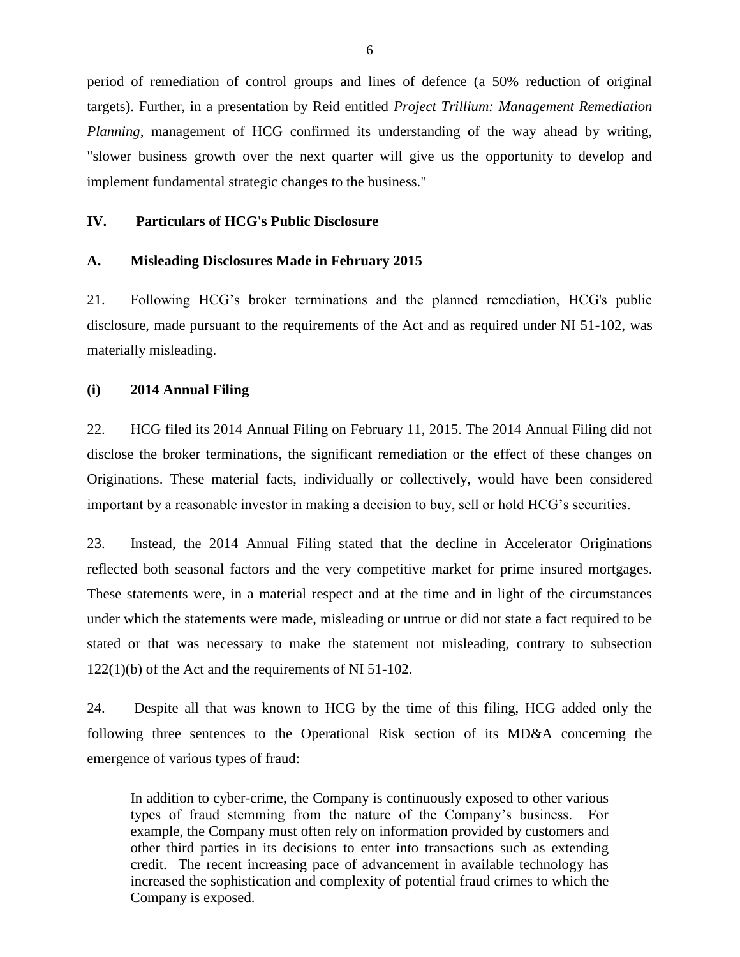period of remediation of control groups and lines of defence (a 50% reduction of original targets). Further, in a presentation by Reid entitled *Project Trillium: Management Remediation Planning*, management of HCG confirmed its understanding of the way ahead by writing, "slower business growth over the next quarter will give us the opportunity to develop and implement fundamental strategic changes to the business."

### **IV. Particulars of HCG's Public Disclosure**

#### **A. Misleading Disclosures Made in February 2015**

21. Following HCG's broker terminations and the planned remediation, HCG's public disclosure, made pursuant to the requirements of the Act and as required under NI 51-102, was materially misleading.

### **(i) 2014 Annual Filing**

22. HCG filed its 2014 Annual Filing on February 11, 2015. The 2014 Annual Filing did not disclose the broker terminations, the significant remediation or the effect of these changes on Originations. These material facts, individually or collectively, would have been considered important by a reasonable investor in making a decision to buy, sell or hold HCG's securities.

23. Instead, the 2014 Annual Filing stated that the decline in Accelerator Originations reflected both seasonal factors and the very competitive market for prime insured mortgages. These statements were, in a material respect and at the time and in light of the circumstances under which the statements were made, misleading or untrue or did not state a fact required to be stated or that was necessary to make the statement not misleading, contrary to subsection 122(1)(b) of the Act and the requirements of NI 51-102.

24. Despite all that was known to HCG by the time of this filing, HCG added only the following three sentences to the Operational Risk section of its MD&A concerning the emergence of various types of fraud:

In addition to cyber-crime, the Company is continuously exposed to other various types of fraud stemming from the nature of the Company's business. For example, the Company must often rely on information provided by customers and other third parties in its decisions to enter into transactions such as extending credit. The recent increasing pace of advancement in available technology has increased the sophistication and complexity of potential fraud crimes to which the Company is exposed.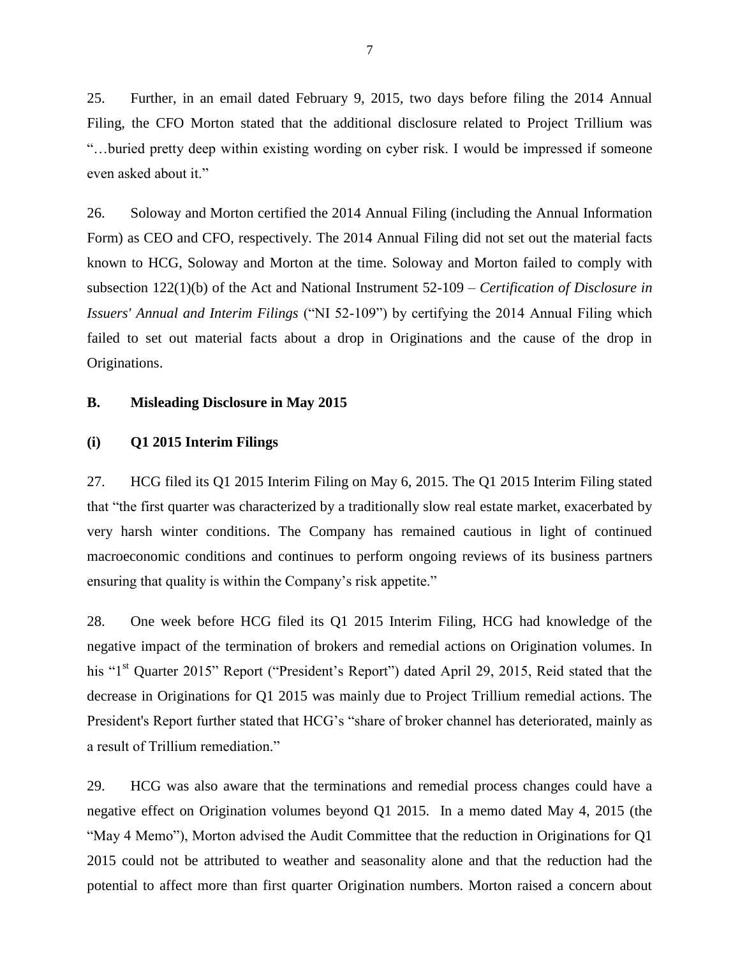25. Further, in an email dated February 9, 2015, two days before filing the 2014 Annual Filing, the CFO Morton stated that the additional disclosure related to Project Trillium was "…buried pretty deep within existing wording on cyber risk. I would be impressed if someone even asked about it."

26. Soloway and Morton certified the 2014 Annual Filing (including the Annual Information Form) as CEO and CFO, respectively. The 2014 Annual Filing did not set out the material facts known to HCG, Soloway and Morton at the time. Soloway and Morton failed to comply with subsection 122(1)(b) of the Act and National Instrument 52-109 – *Certification of Disclosure in Issuers' Annual and Interim Filings* ("NI 52-109") by certifying the 2014 Annual Filing which failed to set out material facts about a drop in Originations and the cause of the drop in Originations.

#### **B. Misleading Disclosure in May 2015**

#### **(i) Q1 2015 Interim Filings**

27. HCG filed its Q1 2015 Interim Filing on May 6, 2015. The Q1 2015 Interim Filing stated that "the first quarter was characterized by a traditionally slow real estate market, exacerbated by very harsh winter conditions. The Company has remained cautious in light of continued macroeconomic conditions and continues to perform ongoing reviews of its business partners ensuring that quality is within the Company's risk appetite."

28. One week before HCG filed its Q1 2015 Interim Filing, HCG had knowledge of the negative impact of the termination of brokers and remedial actions on Origination volumes. In his "1<sup>st</sup> Quarter 2015" Report ("President's Report") dated April 29, 2015, Reid stated that the decrease in Originations for Q1 2015 was mainly due to Project Trillium remedial actions. The President's Report further stated that HCG's "share of broker channel has deteriorated, mainly as a result of Trillium remediation."

29. HCG was also aware that the terminations and remedial process changes could have a negative effect on Origination volumes beyond Q1 2015. In a memo dated May 4, 2015 (the "May 4 Memo"), Morton advised the Audit Committee that the reduction in Originations for Q1 2015 could not be attributed to weather and seasonality alone and that the reduction had the potential to affect more than first quarter Origination numbers. Morton raised a concern about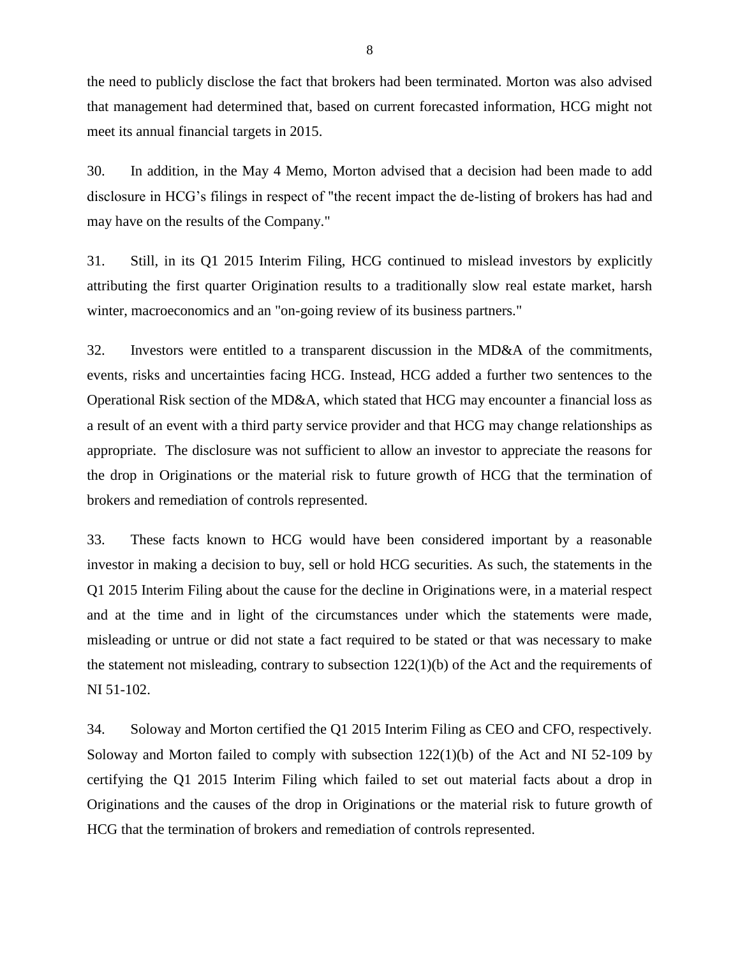the need to publicly disclose the fact that brokers had been terminated. Morton was also advised that management had determined that, based on current forecasted information, HCG might not meet its annual financial targets in 2015.

30. In addition, in the May 4 Memo, Morton advised that a decision had been made to add disclosure in HCG's filings in respect of "the recent impact the de-listing of brokers has had and may have on the results of the Company."

31. Still, in its Q1 2015 Interim Filing, HCG continued to mislead investors by explicitly attributing the first quarter Origination results to a traditionally slow real estate market, harsh winter, macroeconomics and an "on-going review of its business partners."

32. Investors were entitled to a transparent discussion in the MD&A of the commitments, events, risks and uncertainties facing HCG. Instead, HCG added a further two sentences to the Operational Risk section of the MD&A, which stated that HCG may encounter a financial loss as a result of an event with a third party service provider and that HCG may change relationships as appropriate. The disclosure was not sufficient to allow an investor to appreciate the reasons for the drop in Originations or the material risk to future growth of HCG that the termination of brokers and remediation of controls represented.

33. These facts known to HCG would have been considered important by a reasonable investor in making a decision to buy, sell or hold HCG securities. As such, the statements in the Q1 2015 Interim Filing about the cause for the decline in Originations were, in a material respect and at the time and in light of the circumstances under which the statements were made, misleading or untrue or did not state a fact required to be stated or that was necessary to make the statement not misleading, contrary to subsection 122(1)(b) of the Act and the requirements of NI 51-102.

34. Soloway and Morton certified the Q1 2015 Interim Filing as CEO and CFO, respectively. Soloway and Morton failed to comply with subsection  $122(1)(b)$  of the Act and NI 52-109 by certifying the Q1 2015 Interim Filing which failed to set out material facts about a drop in Originations and the causes of the drop in Originations or the material risk to future growth of HCG that the termination of brokers and remediation of controls represented.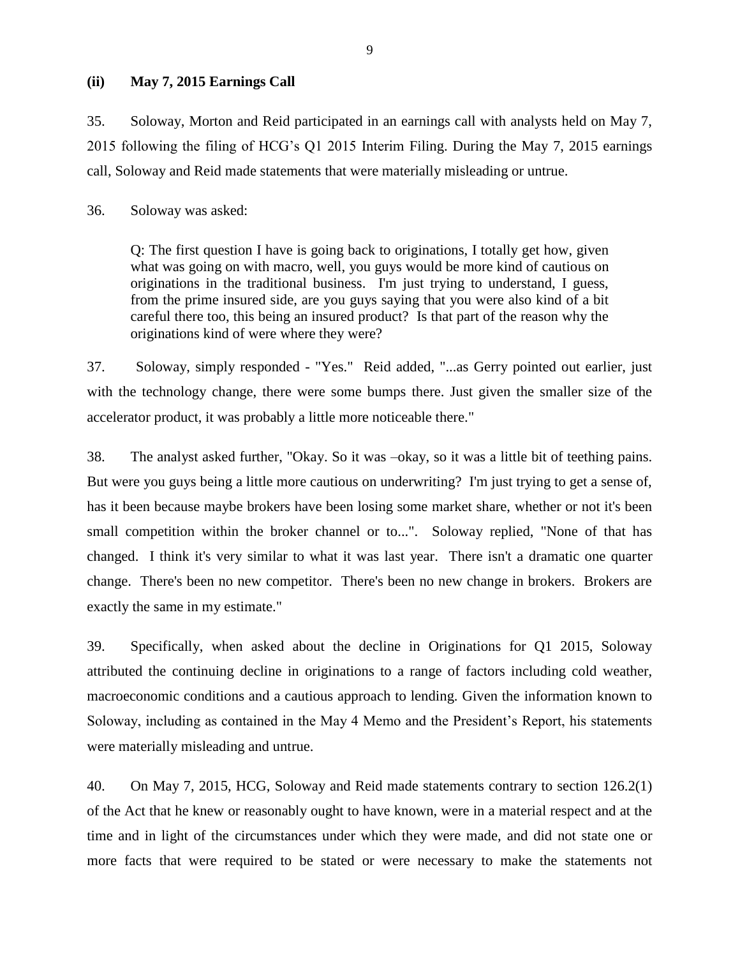### **(ii) May 7, 2015 Earnings Call**

35. Soloway, Morton and Reid participated in an earnings call with analysts held on May 7, 2015 following the filing of HCG's Q1 2015 Interim Filing. During the May 7, 2015 earnings call, Soloway and Reid made statements that were materially misleading or untrue.

36. Soloway was asked:

Q: The first question I have is going back to originations, I totally get how, given what was going on with macro, well, you guys would be more kind of cautious on originations in the traditional business. I'm just trying to understand, I guess, from the prime insured side, are you guys saying that you were also kind of a bit careful there too, this being an insured product? Is that part of the reason why the originations kind of were where they were?

37. Soloway, simply responded - "Yes." Reid added, "...as Gerry pointed out earlier, just with the technology change, there were some bumps there. Just given the smaller size of the accelerator product, it was probably a little more noticeable there."

38. The analyst asked further, "Okay. So it was –okay, so it was a little bit of teething pains. But were you guys being a little more cautious on underwriting? I'm just trying to get a sense of, has it been because maybe brokers have been losing some market share, whether or not it's been small competition within the broker channel or to...". Soloway replied, "None of that has changed. I think it's very similar to what it was last year. There isn't a dramatic one quarter change. There's been no new competitor. There's been no new change in brokers. Brokers are exactly the same in my estimate."

39. Specifically, when asked about the decline in Originations for Q1 2015, Soloway attributed the continuing decline in originations to a range of factors including cold weather, macroeconomic conditions and a cautious approach to lending. Given the information known to Soloway, including as contained in the May 4 Memo and the President's Report, his statements were materially misleading and untrue.

40. On May 7, 2015, HCG, Soloway and Reid made statements contrary to section 126.2(1) of the Act that he knew or reasonably ought to have known, were in a material respect and at the time and in light of the circumstances under which they were made, and did not state one or more facts that were required to be stated or were necessary to make the statements not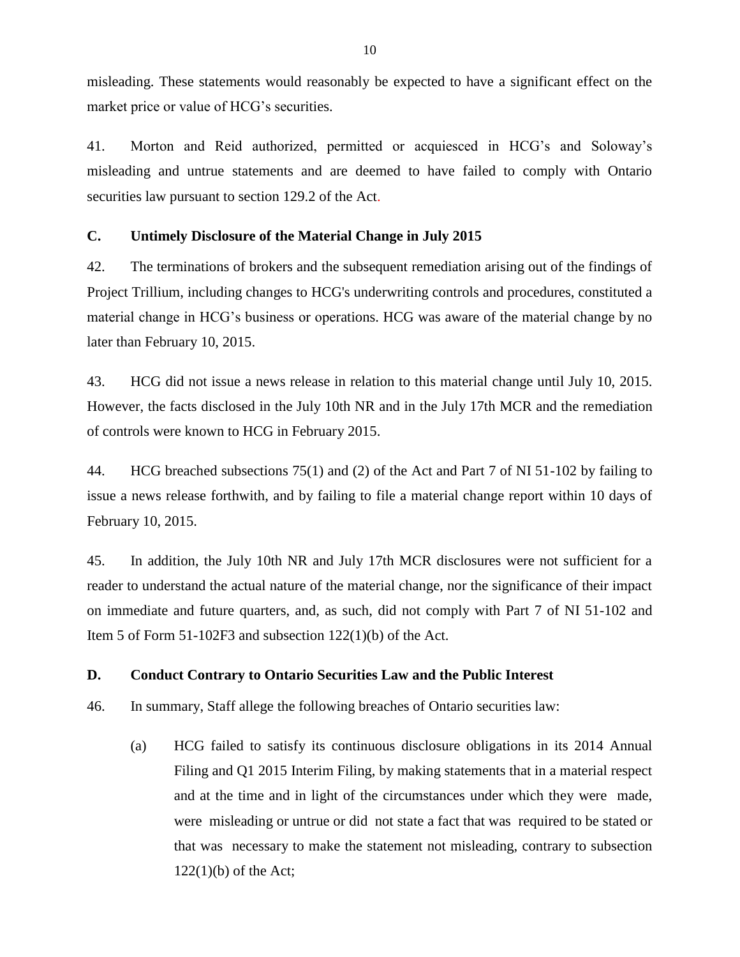misleading. These statements would reasonably be expected to have a significant effect on the market price or value of HCG's securities.

41. Morton and Reid authorized, permitted or acquiesced in HCG's and Soloway's misleading and untrue statements and are deemed to have failed to comply with Ontario securities law pursuant to section 129.2 of the Act.

### **C. Untimely Disclosure of the Material Change in July 2015**

42. The terminations of brokers and the subsequent remediation arising out of the findings of Project Trillium, including changes to HCG's underwriting controls and procedures, constituted a material change in HCG's business or operations. HCG was aware of the material change by no later than February 10, 2015.

43. HCG did not issue a news release in relation to this material change until July 10, 2015. However, the facts disclosed in the July 10th NR and in the July 17th MCR and the remediation of controls were known to HCG in February 2015.

44. HCG breached subsections 75(1) and (2) of the Act and Part 7 of NI 51-102 by failing to issue a news release forthwith, and by failing to file a material change report within 10 days of February 10, 2015.

45. In addition, the July 10th NR and July 17th MCR disclosures were not sufficient for a reader to understand the actual nature of the material change, nor the significance of their impact on immediate and future quarters, and, as such, did not comply with Part 7 of NI 51-102 and Item 5 of Form 51-102F3 and subsection 122(1)(b) of the Act.

## **D. Conduct Contrary to Ontario Securities Law and the Public Interest**

46. In summary, Staff allege the following breaches of Ontario securities law:

(a) HCG failed to satisfy its continuous disclosure obligations in its 2014 Annual Filing and Q1 2015 Interim Filing, by making statements that in a material respect and at the time and in light of the circumstances under which they were made, were misleading or untrue or did not state a fact that was required to be stated or that was necessary to make the statement not misleading, contrary to subsection  $122(1)(b)$  of the Act;